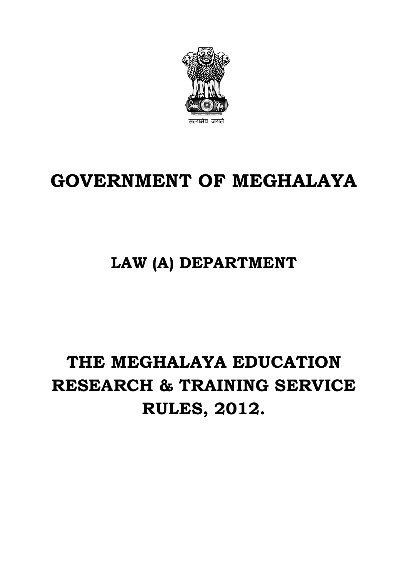

## **GOVERNMENT OF MEGHALAYA**

## **LAW (A) DEPARTMENT**

# **THE MEGHALAYA EDUCATION RESEARCH & TRAINING SERVICE RULES, 2012.**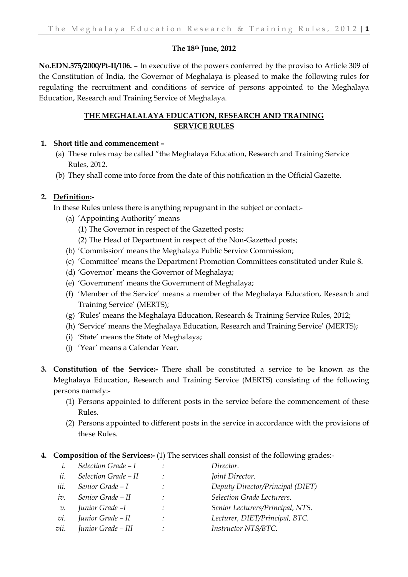#### **The 18th June, 2012**

**No.EDN.375/2000/Pt-II/106. –** In executive of the powers conferred by the proviso to Article 309 of the Constitution of India, the Governor of Meghalaya is pleased to make the following rules for regulating the recruitment and conditions of service of persons appointed to the Meghalaya Education, Research and Training Service of Meghalaya.

#### **THE MEGHALALAYA EDUCATION, RESEARCH AND TRAINING SERVICE RULES**

#### **1. Short title and commencement –**

- (a) These rules may be called "the Meghalaya Education, Research and Training Service Rules, 2012.
- (b) They shall come into force from the date of this notification in the Official Gazette.

#### **2. Definition:-**

In these Rules unless there is anything repugnant in the subject or contact:-

- (a) 'Appointing Authority' means
	- (1) The Governor in respect of the Gazetted posts;
	- (2) The Head of Department in respect of the Non-Gazetted posts;
- (b) 'Commission' means the Meghalaya Public Service Commission;
- (c) 'Committee' means the Department Promotion Committees constituted under Rule 8.
- (d) 'Governor' means the Governor of Meghalaya;
- (e) 'Government' means the Government of Meghalaya;
- (f) 'Member of the Service' means a member of the Meghalaya Education, Research and Training Service' (MERTS);
- (g) 'Rules' means the Meghalaya Education, Research & Training Service Rules, 2012;
- (h) 'Service' means the Meghalaya Education, Research and Training Service' (MERTS);
- (i) 'State' means the State of Meghalaya;
- (j) 'Year' means a Calendar Year.
- **3. Constitution of the Service:-** There shall be constituted a service to be known as the Meghalaya Education, Research and Training Service (MERTS) consisting of the following persons namely:-
	- (1) Persons appointed to different posts in the service before the commencement of these Rules.
	- (2) Persons appointed to different posts in the service in accordance with the provisions of these Rules.
- **4. Composition of the Services:-** (1) The services shall consist of the following grades:-

|      | Selection Grade - I  | $\bullet$ | Director.                        |
|------|----------------------|-----------|----------------------------------|
| ii.  | Selection Grade - II |           | Joint Director.                  |
| iii. | Senior Grade - I     |           | Deputy Director/Principal (DIET) |
| iv.  | Senior Grade - II    | $\cdot$   | Selection Grade Lecturers.       |
| v.   | Junior Grade -I      |           | Senior Lecturers/Principal, NTS. |
| vi.  | Junior Grade - II    | ÷         | Lecturer, DIET/Principal, BTC.   |
| vii. | Junior Grade - III   |           | Instructor NTS/BTC.              |
|      |                      |           |                                  |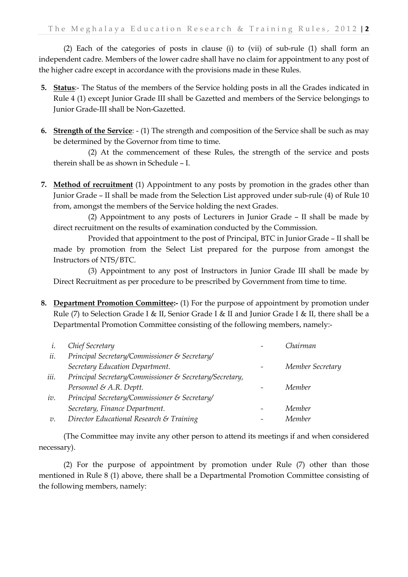(2) Each of the categories of posts in clause (i) to (vii) of sub-rule (1) shall form an independent cadre. Members of the lower cadre shall have no claim for appointment to any post of the higher cadre except in accordance with the provisions made in these Rules.

- **5. Status**:- The Status of the members of the Service holding posts in all the Grades indicated in Rule 4 (1) except Junior Grade III shall be Gazetted and members of the Service belongings to Junior Grade-III shall be Non-Gazetted.
- **6. Strength of the Service**: (1) The strength and composition of the Service shall be such as may be determined by the Governor from time to time.

(2) At the commencement of these Rules, the strength of the service and posts therein shall be as shown in Schedule – I.

**7. Method of recruitment** (1) Appointment to any posts by promotion in the grades other than Junior Grade – II shall be made from the Selection List approved under sub-rule (4) of Rule 10 from, amongst the members of the Service holding the next Grades.

(2) Appointment to any posts of Lecturers in Junior Grade – II shall be made by direct recruitment on the results of examination conducted by the Commission.

Provided that appointment to the post of Principal, BTC in Junior Grade – II shall be made by promotion from the Select List prepared for the purpose from amongst the Instructors of NTS/BTC.

(3) Appointment to any post of Instructors in Junior Grade III shall be made by Direct Recruitment as per procedure to be prescribed by Government from time to time.

**8. Department Promotion Committee:-** (1) For the purpose of appointment by promotion under Rule (7) to Selection Grade I & II, Senior Grade I & II and Junior Grade I & II, there shall be a Departmental Promotion Committee consisting of the following members, namely:-

| $\iota$ . | Chief Secretary                                         | Chairman         |
|-----------|---------------------------------------------------------|------------------|
| ii.       | Principal Secretary/Commissioner & Secretary/           |                  |
|           | Secretary Education Department.                         | Member Secretary |
| iii.      | Principal Secretary/Commissioner & Secretary/Secretary, |                  |
|           | Personnel & A.R. Deptt.                                 | Member           |
| iv.       | Principal Secretary/Commissioner & Secretary/           |                  |
|           | Secretary, Finance Department.                          | Member           |
| $v$ .     | Director Educational Research & Training                | Member           |

(The Committee may invite any other person to attend its meetings if and when considered necessary).

(2) For the purpose of appointment by promotion under Rule (7) other than those mentioned in Rule 8 (1) above, there shall be a Departmental Promotion Committee consisting of the following members, namely: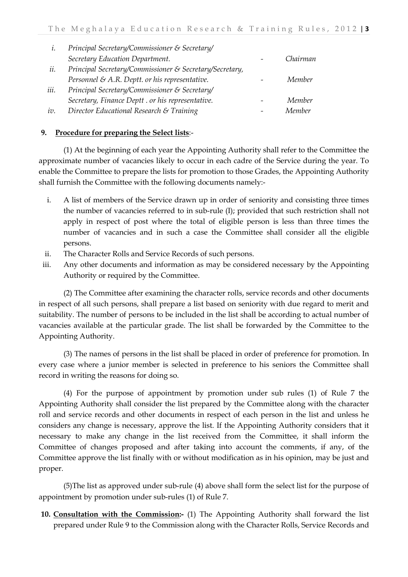|      | Principal Secretary/Commissioner & Secretary/           |          |
|------|---------------------------------------------------------|----------|
|      | Secretary Education Department.                         | Chairman |
| ii.  | Principal Secretary/Commissioner & Secretary/Secretary, |          |
|      | Personnel & A.R. Deptt. or his representative.          | Member   |
| iii. | Principal Secretary/Commissioner & Secretary/           |          |
|      | Secretary, Finance Deptt. or his representative.        | Member   |
| 10.  | Director Educational Research & Training                | Member   |

#### **9. Procedure for preparing the Select lists**:-

(1) At the beginning of each year the Appointing Authority shall refer to the Committee the approximate number of vacancies likely to occur in each cadre of the Service during the year. To enable the Committee to prepare the lists for promotion to those Grades, the Appointing Authority shall furnish the Committee with the following documents namely:-

- i. A list of members of the Service drawn up in order of seniority and consisting three times the number of vacancies referred to in sub-rule (I); provided that such restriction shall not apply in respect of post where the total of eligible person is less than three times the number of vacancies and in such a case the Committee shall consider all the eligible persons.
- ii. The Character Rolls and Service Records of such persons.
- iii. Any other documents and information as may be considered necessary by the Appointing Authority or required by the Committee.

(2) The Committee after examining the character rolls, service records and other documents in respect of all such persons, shall prepare a list based on seniority with due regard to merit and suitability. The number of persons to be included in the list shall be according to actual number of vacancies available at the particular grade. The list shall be forwarded by the Committee to the Appointing Authority.

(3) The names of persons in the list shall be placed in order of preference for promotion. In every case where a junior member is selected in preference to his seniors the Committee shall record in writing the reasons for doing so.

(4) For the purpose of appointment by promotion under sub rules (1) of Rule 7 the Appointing Authority shall consider the list prepared by the Committee along with the character roll and service records and other documents in respect of each person in the list and unless he considers any change is necessary, approve the list. If the Appointing Authority considers that it necessary to make any change in the list received from the Committee, it shall inform the Committee of changes proposed and after taking into account the comments, if any, of the Committee approve the list finally with or without modification as in his opinion, may be just and proper.

(5)The list as approved under sub-rule (4) above shall form the select list for the purpose of appointment by promotion under sub-rules (1) of Rule 7.

**10. Consultation with the Commission:-** (1) The Appointing Authority shall forward the list prepared under Rule 9 to the Commission along with the Character Rolls, Service Records and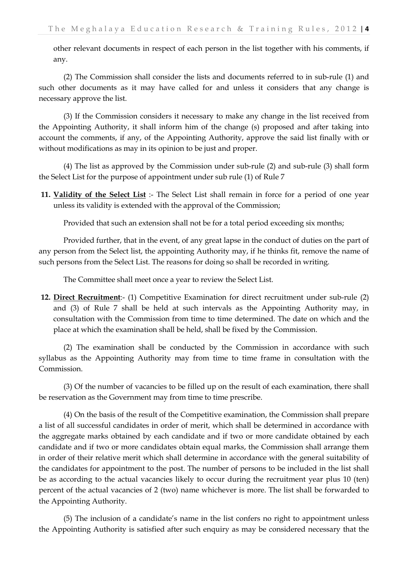other relevant documents in respect of each person in the list together with his comments, if any.

(2) The Commission shall consider the lists and documents referred to in sub-rule (1) and such other documents as it may have called for and unless it considers that any change is necessary approve the list.

(3) If the Commission considers it necessary to make any change in the list received from the Appointing Authority, it shall inform him of the change (s) proposed and after taking into account the comments, if any, of the Appointing Authority, approve the said list finally with or without modifications as may in its opinion to be just and proper.

(4) The list as approved by the Commission under sub-rule (2) and sub-rule (3) shall form the Select List for the purpose of appointment under sub rule (1) of Rule 7

**11. Validity of the Select List** :- The Select List shall remain in force for a period of one year unless its validity is extended with the approval of the Commission;

Provided that such an extension shall not be for a total period exceeding six months;

Provided further, that in the event, of any great lapse in the conduct of duties on the part of any person from the Select list, the appointing Authority may, if he thinks fit, remove the name of such persons from the Select List. The reasons for doing so shall be recorded in writing.

The Committee shall meet once a year to review the Select List.

**12. Direct Recruitment**:- (1) Competitive Examination for direct recruitment under sub-rule (2) and (3) of Rule 7 shall be held at such intervals as the Appointing Authority may, in consultation with the Commission from time to time determined. The date on which and the place at which the examination shall be held, shall be fixed by the Commission.

(2) The examination shall be conducted by the Commission in accordance with such syllabus as the Appointing Authority may from time to time frame in consultation with the Commission.

(3) Of the number of vacancies to be filled up on the result of each examination, there shall be reservation as the Government may from time to time prescribe.

(4) On the basis of the result of the Competitive examination, the Commission shall prepare a list of all successful candidates in order of merit, which shall be determined in accordance with the aggregate marks obtained by each candidate and if two or more candidate obtained by each candidate and if two or more candidates obtain equal marks, the Commission shall arrange them in order of their relative merit which shall determine in accordance with the general suitability of the candidates for appointment to the post. The number of persons to be included in the list shall be as according to the actual vacancies likely to occur during the recruitment year plus 10 (ten) percent of the actual vacancies of 2 (two) name whichever is more. The list shall be forwarded to the Appointing Authority.

(5) The inclusion of a candidate's name in the list confers no right to appointment unless the Appointing Authority is satisfied after such enquiry as may be considered necessary that the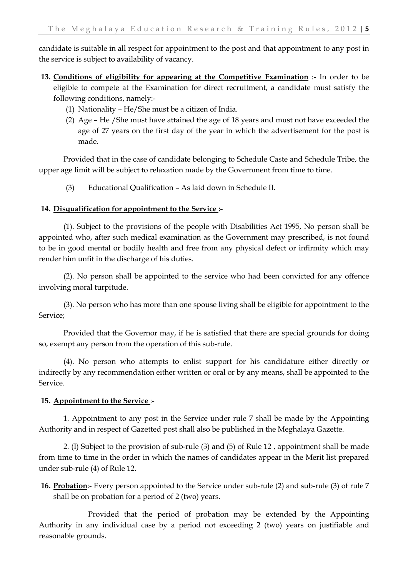candidate is suitable in all respect for appointment to the post and that appointment to any post in the service is subject to availability of vacancy.

- **13. Conditions of eligibility for appearing at the Competitive Examination** :- In order to be eligible to compete at the Examination for direct recruitment, a candidate must satisfy the following conditions, namely:-
	- (1) Nationality He/She must be a citizen of India.
	- (2) Age He /She must have attained the age of 18 years and must not have exceeded the age of 27 years on the first day of the year in which the advertisement for the post is made.

Provided that in the case of candidate belonging to Schedule Caste and Schedule Tribe, the upper age limit will be subject to relaxation made by the Government from time to time.

(3) Educational Qualification – As laid down in Schedule II.

#### **14. Disqualification for appointment to the Service :-**

(1). Subject to the provisions of the people with Disabilities Act 1995, No person shall be appointed who, after such medical examination as the Government may prescribed, is not found to be in good mental or bodily health and free from any physical defect or infirmity which may render him unfit in the discharge of his duties.

(2). No person shall be appointed to the service who had been convicted for any offence involving moral turpitude.

(3). No person who has more than one spouse living shall be eligible for appointment to the Service;

Provided that the Governor may, if he is satisfied that there are special grounds for doing so, exempt any person from the operation of this sub-rule.

(4). No person who attempts to enlist support for his candidature either directly or indirectly by any recommendation either written or oral or by any means, shall be appointed to the Service.

#### **15. Appointment to the Service** :-

1. Appointment to any post in the Service under rule 7 shall be made by the Appointing Authority and in respect of Gazetted post shall also be published in the Meghalaya Gazette.

2. (I) Subject to the provision of sub-rule (3) and (5) of Rule 12 , appointment shall be made from time to time in the order in which the names of candidates appear in the Merit list prepared under sub-rule (4) of Rule 12.

**16. Probation**:- Every person appointed to the Service under sub-rule (2) and sub-rule (3) of rule 7 shall be on probation for a period of 2 (two) years.

Provided that the period of probation may be extended by the Appointing Authority in any individual case by a period not exceeding 2 (two) years on justifiable and reasonable grounds.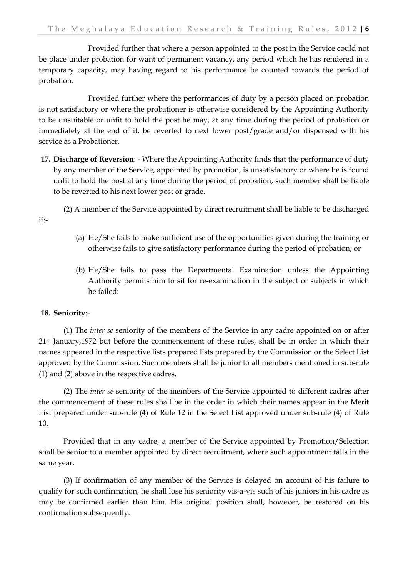Provided further that where a person appointed to the post in the Service could not be place under probation for want of permanent vacancy, any period which he has rendered in a temporary capacity, may having regard to his performance be counted towards the period of probation.

Provided further where the performances of duty by a person placed on probation is not satisfactory or where the probationer is otherwise considered by the Appointing Authority to be unsuitable or unfit to hold the post he may, at any time during the period of probation or immediately at the end of it, be reverted to next lower post/grade and/or dispensed with his service as a Probationer.

**17. Discharge of Reversion**: - Where the Appointing Authority finds that the performance of duty by any member of the Service, appointed by promotion, is unsatisfactory or where he is found unfit to hold the post at any time during the period of probation, such member shall be liable to be reverted to his next lower post or grade.

(2) A member of the Service appointed by direct recruitment shall be liable to be discharged

- (a) He/She fails to make sufficient use of the opportunities given during the training or otherwise fails to give satisfactory performance during the period of probation; or
- (b) He/She fails to pass the Departmental Examination unless the Appointing Authority permits him to sit for re-examination in the subject or subjects in which he failed:

#### **18. Seniority**:-

if:-

(1) The *inter se* seniority of the members of the Service in any cadre appointed on or after 21st January,1972 but before the commencement of these rules, shall be in order in which their names appeared in the respective lists prepared lists prepared by the Commission or the Select List approved by the Commission. Such members shall be junior to all members mentioned in sub-rule (1) and (2) above in the respective cadres.

(2) The *inter se* seniority of the members of the Service appointed to different cadres after the commencement of these rules shall be in the order in which their names appear in the Merit List prepared under sub-rule (4) of Rule 12 in the Select List approved under sub-rule (4) of Rule 10.

Provided that in any cadre, a member of the Service appointed by Promotion/Selection shall be senior to a member appointed by direct recruitment, where such appointment falls in the same year.

(3) If confirmation of any member of the Service is delayed on account of his failure to qualify for such confirmation, he shall lose his seniority vis-a-vis such of his juniors in his cadre as may be confirmed earlier than him. His original position shall, however, be restored on his confirmation subsequently.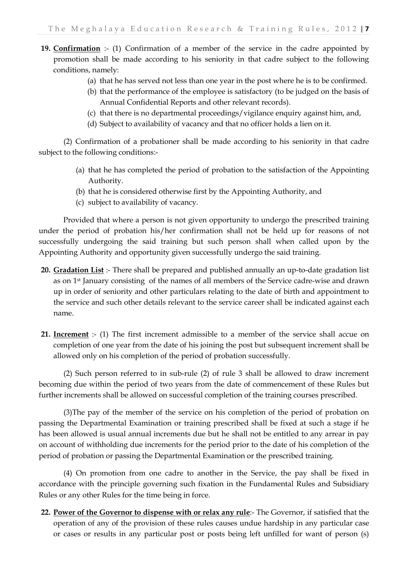- **19. Confirmation** :- (1) Confirmation of a member of the service in the cadre appointed by promotion shall be made according to his seniority in that cadre subject to the following conditions, namely:
	- (a) that he has served not less than one year in the post where he is to be confirmed.
	- (b) that the performance of the employee is satisfactory (to be judged on the basis of Annual Confidential Reports and other relevant records).
	- (c) that there is no departmental proceedings/vigilance enquiry against him, and,
	- (d) Subject to availability of vacancy and that no officer holds a lien on it.

(2) Confirmation of a probationer shall be made according to his seniority in that cadre subject to the following conditions:-

- (a) that he has completed the period of probation to the satisfaction of the Appointing Authority.
- (b) that he is considered otherwise first by the Appointing Authority, and
- (c) subject to availability of vacancy.

Provided that where a person is not given opportunity to undergo the prescribed training under the period of probation his/her confirmation shall not be held up for reasons of not successfully undergoing the said training but such person shall when called upon by the Appointing Authority and opportunity given successfully undergo the said training.

- **20. Gradation List** :- There shall be prepared and published annually an up-to-date gradation list as on 1st January consisting of the names of all members of the Service cadre-wise and drawn up in order of seniority and other particulars relating to the date of birth and appointment to the service and such other details relevant to the service career shall be indicated against each name.
- **21. Increment** :- (1) The first increment admissible to a member of the service shall accue on completion of one year from the date of his joining the post but subsequent increment shall be allowed only on his completion of the period of probation successfully.

(2) Such person referred to in sub-rule (2) of rule 3 shall be allowed to draw increment becoming due within the period of two years from the date of commencement of these Rules but further increments shall be allowed on successful completion of the training courses prescribed.

(3)The pay of the member of the service on his completion of the period of probation on passing the Departmental Examination or training prescribed shall be fixed at such a stage if he has been allowed is usual annual increments due but he shall not be entitled to any arrear in pay on account of withholding due increments for the period prior to the date of his completion of the period of probation or passing the Departmental Examination or the prescribed training.

(4) On promotion from one cadre to another in the Service, the pay shall be fixed in accordance with the principle governing such fixation in the Fundamental Rules and Subsidiary Rules or any other Rules for the time being in force.

**22. Power of the Governor to dispense with or relax any rule**:- The Governor, if satisfied that the operation of any of the provision of these rules causes undue hardship in any particular case or cases or results in any particular post or posts being left unfilled for want of person (s)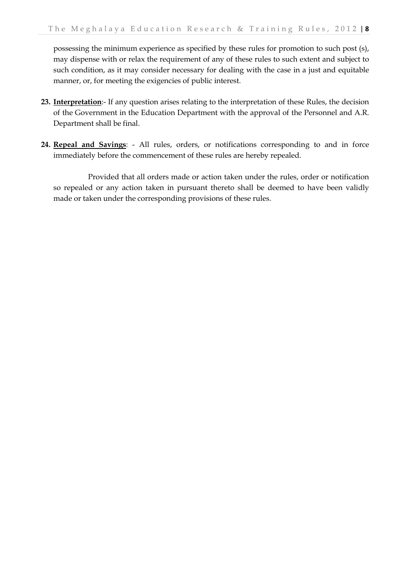possessing the minimum experience as specified by these rules for promotion to such post (s), may dispense with or relax the requirement of any of these rules to such extent and subject to such condition, as it may consider necessary for dealing with the case in a just and equitable manner, or, for meeting the exigencies of public interest.

- **23. Interpretation**:- If any question arises relating to the interpretation of these Rules, the decision of the Government in the Education Department with the approval of the Personnel and A.R. Department shall be final.
- **24. Repeal and Savings**: All rules, orders, or notifications corresponding to and in force immediately before the commencement of these rules are hereby repealed.

Provided that all orders made or action taken under the rules, order or notification so repealed or any action taken in pursuant thereto shall be deemed to have been validly made or taken under the corresponding provisions of these rules.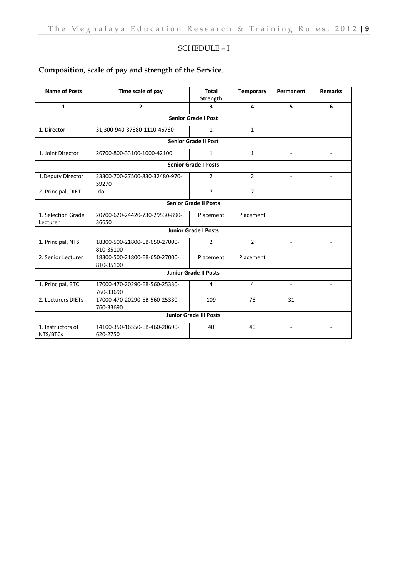### SCHEDULE – I

### **Composition, scale of pay and strength of the Service**.

| <b>Name of Posts</b>                                             | Time scale of pay                          | Total<br>Strength          | <b>Temporary</b> | Permanent                | <b>Remarks</b>           |  |  |  |
|------------------------------------------------------------------|--------------------------------------------|----------------------------|------------------|--------------------------|--------------------------|--|--|--|
| $\mathbf{1}$                                                     | $\overline{2}$                             | $\overline{\mathbf{3}}$    | 4                | 5                        | 6                        |  |  |  |
|                                                                  |                                            |                            |                  |                          |                          |  |  |  |
|                                                                  |                                            | <b>Senior Grade I Post</b> |                  |                          |                          |  |  |  |
| 1. Director                                                      | 31,300-940-37880-1110-46760                | $\mathbf{1}$               | $\mathbf{1}$     |                          |                          |  |  |  |
| <b>Senior Grade II Post</b>                                      |                                            |                            |                  |                          |                          |  |  |  |
| 1. Joint Director                                                | 26700-800-33100-1000-42100                 | $\mathbf{1}$               | $\mathbf{1}$     | ٠                        | $\sim$                   |  |  |  |
| <b>Senior Grade I Posts</b>                                      |                                            |                            |                  |                          |                          |  |  |  |
| 1. Deputy Director                                               | 23300-700-27500-830-32480-970-<br>39270    | $\overline{2}$             | $\overline{2}$   |                          |                          |  |  |  |
| 2. Principal, DIET<br>$-do-$                                     |                                            | $\overline{7}$             | $\overline{7}$   | $\overline{\phantom{a}}$ |                          |  |  |  |
| <b>Senior Grade II Posts</b>                                     |                                            |                            |                  |                          |                          |  |  |  |
| 1. Selection Grade                                               | 20700-620-24420-730-29530-890-             | Placement                  | Placement        |                          |                          |  |  |  |
| Lecturer                                                         | 36650                                      |                            |                  |                          |                          |  |  |  |
| <b>Junior Grade I Posts</b>                                      |                                            |                            |                  |                          |                          |  |  |  |
| 1. Principal, NTS                                                | 18300-500-21800-EB-650-27000-<br>810-35100 | $\overline{2}$             | $\overline{2}$   | ٠                        | $\overline{\phantom{0}}$ |  |  |  |
| 2. Senior Lecturer<br>18300-500-21800-EB-650-27000-<br>810-35100 |                                            | Placement                  | Placement        |                          |                          |  |  |  |
| <b>Junior Grade II Posts</b>                                     |                                            |                            |                  |                          |                          |  |  |  |
| 1. Principal, BTC                                                | 17000-470-20290-EB-560-25330-              | 4                          | 4                |                          |                          |  |  |  |
|                                                                  | 760-33690                                  |                            |                  |                          |                          |  |  |  |
| 2. Lecturers DIETs                                               | 17000-470-20290-EB-560-25330-              | 109                        | 78               | 31                       | $\blacksquare$           |  |  |  |
| 760-33690                                                        |                                            |                            |                  |                          |                          |  |  |  |
| <b>Junior Grade III Posts</b>                                    |                                            |                            |                  |                          |                          |  |  |  |
| 1. Instructors of                                                | 14100-350-16550-EB-460-20690-              | 40                         | 40               | $\overline{\phantom{a}}$ |                          |  |  |  |
| NTS/BTCs                                                         | 620-2750                                   |                            |                  |                          |                          |  |  |  |